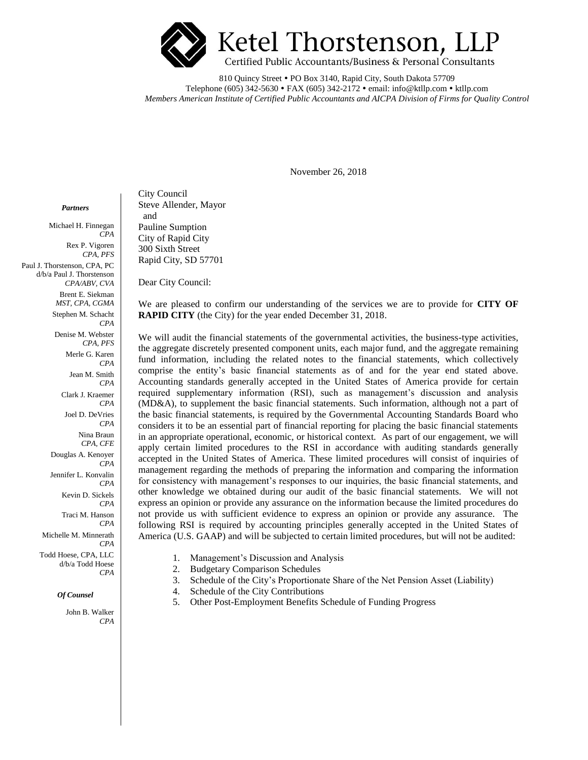

810 Quincy Street • PO Box 3140, Rapid City, South Dakota 57709 Telephone (605) 342-5630 • FAX (605) 342-2172 • email: info@ktllp.com • ktllp.com *Members American Institute of Certified Public Accountants and AICPA Division of Firms for Quality Control*

November 26, 2018

 *Partners*

Michael H. Finnegan *CPA* Rex P. Vigoren *CPA, PFS* Paul J. Thorstenson, CPA, PC d/b/a Paul J. Thorstenson *CPA/ABV, CVA* Brent E. Siekman *MST, CPA, CGMA* Stephen M. Schacht *CPA* Denise M. Webster *CPA, PFS* Merle G. Karen *CPA* Jean M. Smith *CPA* Clark J. Kraemer *CPA* Joel D. DeVries *CPA* Nina Braun *CPA, CFE* Douglas A. Kenoyer *CPA* Jennifer L. Konvalin *CPA* Kevin D. Sickels *CPA* Traci M. Hanson *CPA* Michelle M. Minnerath *CPA* Todd Hoese, CPA, LLC d/b/a Todd Hoese *CPA*

#### *Of Counsel*

John B. Walker *CPA*

City Council Steve Allender, Mayor and Pauline Sumption City of Rapid City 300 Sixth Street Rapid City, SD 57701

Dear City Council:

We are pleased to confirm our understanding of the services we are to provide for **CITY OF RAPID CITY** (the City) for the year ended December 31, 2018.

We will audit the financial statements of the governmental activities, the business-type activities, the aggregate discretely presented component units, each major fund, and the aggregate remaining fund information, including the related notes to the financial statements, which collectively comprise the entity's basic financial statements as of and for the year end stated above. Accounting standards generally accepted in the United States of America provide for certain required supplementary information (RSI), such as management's discussion and analysis (MD&A), to supplement the basic financial statements. Such information, although not a part of the basic financial statements, is required by the Governmental Accounting Standards Board who considers it to be an essential part of financial reporting for placing the basic financial statements in an appropriate operational, economic, or historical context. As part of our engagement, we will apply certain limited procedures to the RSI in accordance with auditing standards generally accepted in the United States of America. These limited procedures will consist of inquiries of management regarding the methods of preparing the information and comparing the information for consistency with management's responses to our inquiries, the basic financial statements, and other knowledge we obtained during our audit of the basic financial statements. We will not express an opinion or provide any assurance on the information because the limited procedures do not provide us with sufficient evidence to express an opinion or provide any assurance. The following RSI is required by accounting principles generally accepted in the United States of America (U.S. GAAP) and will be subjected to certain limited procedures, but will not be audited:

- 1. Management's Discussion and Analysis
- 2. Budgetary Comparison Schedules
- 3. Schedule of the City's Proportionate Share of the Net Pension Asset (Liability)
- 4. Schedule of the City Contributions
- 5. Other Post-Employment Benefits Schedule of Funding Progress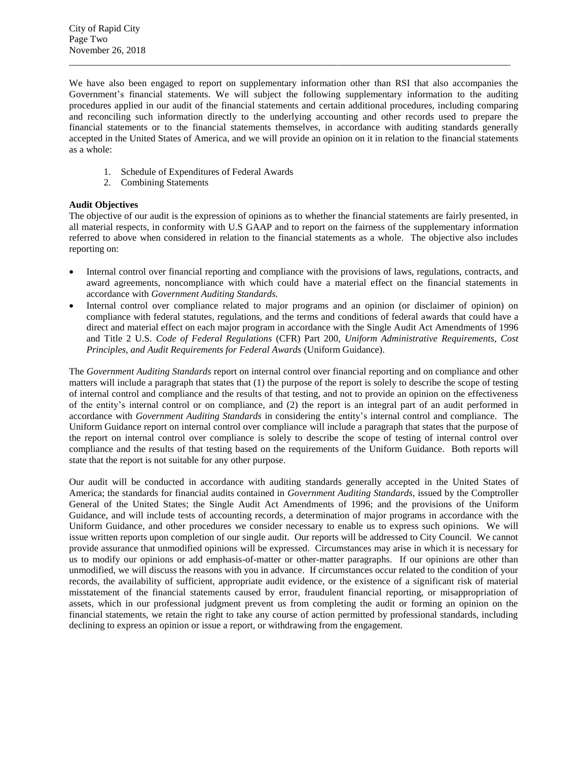We have also been engaged to report on supplementary information other than RSI that also accompanies the Government's financial statements. We will subject the following supplementary information to the auditing procedures applied in our audit of the financial statements and certain additional procedures, including comparing and reconciling such information directly to the underlying accounting and other records used to prepare the financial statements or to the financial statements themselves, in accordance with auditing standards generally accepted in the United States of America, and we will provide an opinion on it in relation to the financial statements as a whole:

 $\overline{a}$  , and the state of the state of the state of the state of the state of the state of the state of the state of the state of the state of the state of the state of the state of the state of the state of the state o

- 1. Schedule of Expenditures of Federal Awards
- 2. Combining Statements

# **Audit Objectives**

The objective of our audit is the expression of opinions as to whether the financial statements are fairly presented, in all material respects, in conformity with U.S GAAP and to report on the fairness of the supplementary information referred to above when considered in relation to the financial statements as a whole. The objective also includes reporting on:

- Internal control over financial reporting and compliance with the provisions of laws, regulations, contracts, and award agreements, noncompliance with which could have a material effect on the financial statements in accordance with *Government Auditing Standards.*
- Internal control over compliance related to major programs and an opinion (or disclaimer of opinion) on compliance with federal statutes, regulations, and the terms and conditions of federal awards that could have a direct and material effect on each major program in accordance with the Single Audit Act Amendments of 1996 and Title 2 U.S. *Code of Federal Regulations* (CFR) Part 200, *Uniform Administrative Requirements*, *Cost Principles, and Audit Requirements for Federal Awards* (Uniform Guidance).

The *Government Auditing Standards* report on internal control over financial reporting and on compliance and other matters will include a paragraph that states that (1) the purpose of the report is solely to describe the scope of testing of internal control and compliance and the results of that testing, and not to provide an opinion on the effectiveness of the entity's internal control or on compliance, and (2) the report is an integral part of an audit performed in accordance with *Government Auditing Standards* in considering the entity's internal control and compliance. The Uniform Guidance report on internal control over compliance will include a paragraph that states that the purpose of the report on internal control over compliance is solely to describe the scope of testing of internal control over compliance and the results of that testing based on the requirements of the Uniform Guidance. Both reports will state that the report is not suitable for any other purpose.

Our audit will be conducted in accordance with auditing standards generally accepted in the United States of America; the standards for financial audits contained in *Government Auditing Standards*, issued by the Comptroller General of the United States; the Single Audit Act Amendments of 1996; and the provisions of the Uniform Guidance, and will include tests of accounting records, a determination of major programs in accordance with the Uniform Guidance, and other procedures we consider necessary to enable us to express such opinions. We will issue written reports upon completion of our single audit. Our reports will be addressed to City Council. We cannot provide assurance that unmodified opinions will be expressed. Circumstances may arise in which it is necessary for us to modify our opinions or add emphasis-of-matter or other-matter paragraphs. If our opinions are other than unmodified, we will discuss the reasons with you in advance. If circumstances occur related to the condition of your records, the availability of sufficient, appropriate audit evidence, or the existence of a significant risk of material misstatement of the financial statements caused by error, fraudulent financial reporting, or misappropriation of assets, which in our professional judgment prevent us from completing the audit or forming an opinion on the financial statements, we retain the right to take any course of action permitted by professional standards, including declining to express an opinion or issue a report, or withdrawing from the engagement.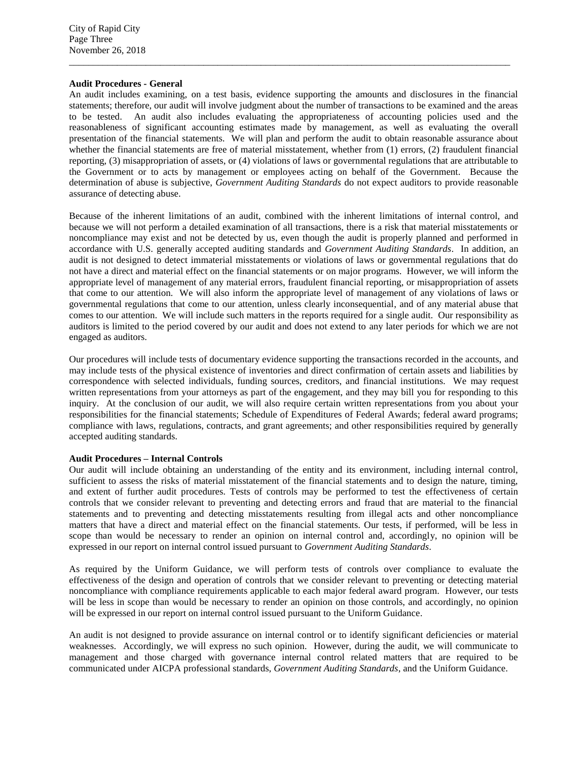# **Audit Procedures - General**

An audit includes examining, on a test basis, evidence supporting the amounts and disclosures in the financial statements; therefore, our audit will involve judgment about the number of transactions to be examined and the areas to be tested. An audit also includes evaluating the appropriateness of accounting policies used and the reasonableness of significant accounting estimates made by management, as well as evaluating the overall presentation of the financial statements. We will plan and perform the audit to obtain reasonable assurance about whether the financial statements are free of material misstatement, whether from (1) errors, (2) fraudulent financial reporting, (3) misappropriation of assets, or (4) violations of laws or governmental regulations that are attributable to the Government or to acts by management or employees acting on behalf of the Government. Because the determination of abuse is subjective, *Government Auditing Standards* do not expect auditors to provide reasonable assurance of detecting abuse.

 $\overline{a}$  , and the contribution of the contribution of the contribution of the contribution of the contribution of the contribution of the contribution of the contribution of the contribution of the contribution of the co

Because of the inherent limitations of an audit, combined with the inherent limitations of internal control, and because we will not perform a detailed examination of all transactions, there is a risk that material misstatements or noncompliance may exist and not be detected by us, even though the audit is properly planned and performed in accordance with U.S. generally accepted auditing standards and *Government Auditing Standards*. In addition, an audit is not designed to detect immaterial misstatements or violations of laws or governmental regulations that do not have a direct and material effect on the financial statements or on major programs. However, we will inform the appropriate level of management of any material errors, fraudulent financial reporting, or misappropriation of assets that come to our attention. We will also inform the appropriate level of management of any violations of laws or governmental regulations that come to our attention, unless clearly inconsequential, and of any material abuse that comes to our attention. We will include such matters in the reports required for a single audit. Our responsibility as auditors is limited to the period covered by our audit and does not extend to any later periods for which we are not engaged as auditors.

Our procedures will include tests of documentary evidence supporting the transactions recorded in the accounts, and may include tests of the physical existence of inventories and direct confirmation of certain assets and liabilities by correspondence with selected individuals, funding sources, creditors, and financial institutions. We may request written representations from your attorneys as part of the engagement, and they may bill you for responding to this inquiry. At the conclusion of our audit, we will also require certain written representations from you about your responsibilities for the financial statements; Schedule of Expenditures of Federal Awards; federal award programs; compliance with laws, regulations, contracts, and grant agreements; and other responsibilities required by generally accepted auditing standards.

#### **Audit Procedures – Internal Controls**

Our audit will include obtaining an understanding of the entity and its environment, including internal control, sufficient to assess the risks of material misstatement of the financial statements and to design the nature, timing, and extent of further audit procedures. Tests of controls may be performed to test the effectiveness of certain controls that we consider relevant to preventing and detecting errors and fraud that are material to the financial statements and to preventing and detecting misstatements resulting from illegal acts and other noncompliance matters that have a direct and material effect on the financial statements. Our tests, if performed, will be less in scope than would be necessary to render an opinion on internal control and, accordingly, no opinion will be expressed in our report on internal control issued pursuant to *Government Auditing Standards*.

As required by the Uniform Guidance, we will perform tests of controls over compliance to evaluate the effectiveness of the design and operation of controls that we consider relevant to preventing or detecting material noncompliance with compliance requirements applicable to each major federal award program. However, our tests will be less in scope than would be necessary to render an opinion on those controls, and accordingly, no opinion will be expressed in our report on internal control issued pursuant to the Uniform Guidance.

An audit is not designed to provide assurance on internal control or to identify significant deficiencies or material weaknesses. Accordingly, we will express no such opinion. However, during the audit, we will communicate to management and those charged with governance internal control related matters that are required to be communicated under AICPA professional standards, *Government Auditing Standards*, and the Uniform Guidance.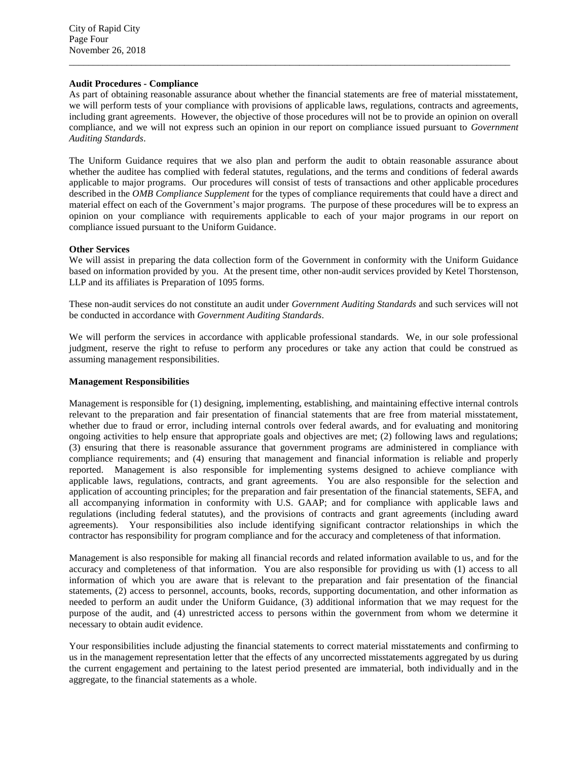# **Audit Procedures - Compliance**

As part of obtaining reasonable assurance about whether the financial statements are free of material misstatement, we will perform tests of your compliance with provisions of applicable laws, regulations, contracts and agreements, including grant agreements. However, the objective of those procedures will not be to provide an opinion on overall compliance, and we will not express such an opinion in our report on compliance issued pursuant to *Government Auditing Standards*.

 $\overline{a}$  , and the state of the state of the state of the state of the state of the state of the state of the state of the state of the state of the state of the state of the state of the state of the state of the state o

The Uniform Guidance requires that we also plan and perform the audit to obtain reasonable assurance about whether the auditee has complied with federal statutes, regulations, and the terms and conditions of federal awards applicable to major programs. Our procedures will consist of tests of transactions and other applicable procedures described in the *OMB Compliance Supplement* for the types of compliance requirements that could have a direct and material effect on each of the Government's major programs. The purpose of these procedures will be to express an opinion on your compliance with requirements applicable to each of your major programs in our report on compliance issued pursuant to the Uniform Guidance.

# **Other Services**

We will assist in preparing the data collection form of the Government in conformity with the Uniform Guidance based on information provided by you. At the present time, other non-audit services provided by Ketel Thorstenson, LLP and its affiliates is Preparation of 1095 forms.

These non-audit services do not constitute an audit under *Government Auditing Standards* and such services will not be conducted in accordance with *Government Auditing Standards*.

We will perform the services in accordance with applicable professional standards. We, in our sole professional judgment, reserve the right to refuse to perform any procedures or take any action that could be construed as assuming management responsibilities.

#### **Management Responsibilities**

Management is responsible for (1) designing, implementing, establishing, and maintaining effective internal controls relevant to the preparation and fair presentation of financial statements that are free from material misstatement, whether due to fraud or error, including internal controls over federal awards, and for evaluating and monitoring ongoing activities to help ensure that appropriate goals and objectives are met; (2) following laws and regulations; (3) ensuring that there is reasonable assurance that government programs are administered in compliance with compliance requirements; and (4) ensuring that management and financial information is reliable and properly reported. Management is also responsible for implementing systems designed to achieve compliance with applicable laws, regulations, contracts, and grant agreements. You are also responsible for the selection and application of accounting principles; for the preparation and fair presentation of the financial statements, SEFA, and all accompanying information in conformity with U.S. GAAP; and for compliance with applicable laws and regulations (including federal statutes), and the provisions of contracts and grant agreements (including award agreements). Your responsibilities also include identifying significant contractor relationships in which the contractor has responsibility for program compliance and for the accuracy and completeness of that information.

Management is also responsible for making all financial records and related information available to us, and for the accuracy and completeness of that information. You are also responsible for providing us with (1) access to all information of which you are aware that is relevant to the preparation and fair presentation of the financial statements, (2) access to personnel, accounts, books, records, supporting documentation, and other information as needed to perform an audit under the Uniform Guidance, (3) additional information that we may request for the purpose of the audit, and (4) unrestricted access to persons within the government from whom we determine it necessary to obtain audit evidence.

Your responsibilities include adjusting the financial statements to correct material misstatements and confirming to us in the management representation letter that the effects of any uncorrected misstatements aggregated by us during the current engagement and pertaining to the latest period presented are immaterial, both individually and in the aggregate, to the financial statements as a whole.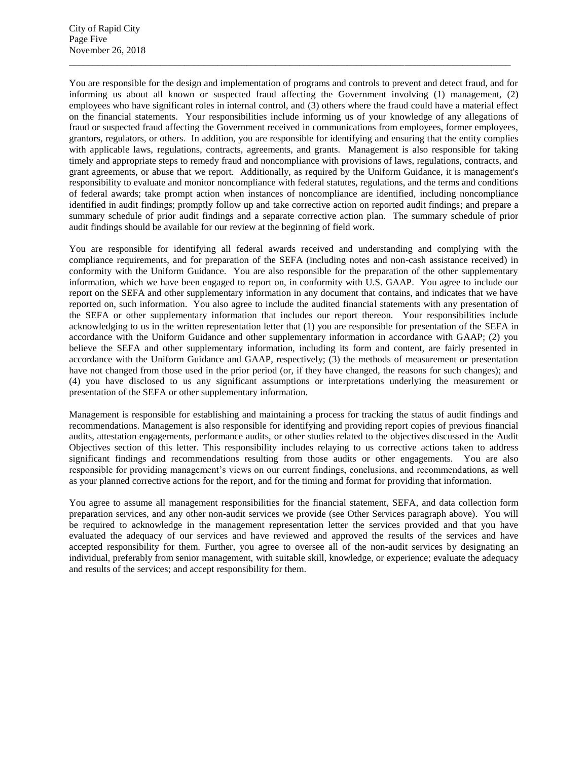You are responsible for the design and implementation of programs and controls to prevent and detect fraud, and for informing us about all known or suspected fraud affecting the Government involving (1) management, (2) employees who have significant roles in internal control, and (3) others where the fraud could have a material effect on the financial statements. Your responsibilities include informing us of your knowledge of any allegations of fraud or suspected fraud affecting the Government received in communications from employees, former employees, grantors, regulators, or others. In addition, you are responsible for identifying and ensuring that the entity complies with applicable laws, regulations, contracts, agreements, and grants. Management is also responsible for taking timely and appropriate steps to remedy fraud and noncompliance with provisions of laws, regulations, contracts, and grant agreements, or abuse that we report. Additionally, as required by the Uniform Guidance, it is management's responsibility to evaluate and monitor noncompliance with federal statutes, regulations, and the terms and conditions of federal awards; take prompt action when instances of noncompliance are identified, including noncompliance identified in audit findings; promptly follow up and take corrective action on reported audit findings; and prepare a summary schedule of prior audit findings and a separate corrective action plan. The summary schedule of prior audit findings should be available for our review at the beginning of field work.

 $\overline{a}$  , and the contribution of the contribution of the contribution of the contribution of the contribution of the contribution of the contribution of the contribution of the contribution of the contribution of the co

You are responsible for identifying all federal awards received and understanding and complying with the compliance requirements, and for preparation of the SEFA (including notes and non-cash assistance received) in conformity with the Uniform Guidance. You are also responsible for the preparation of the other supplementary information, which we have been engaged to report on, in conformity with U.S. GAAP. You agree to include our report on the SEFA and other supplementary information in any document that contains, and indicates that we have reported on, such information. You also agree to include the audited financial statements with any presentation of the SEFA or other supplementary information that includes our report thereon. Your responsibilities include acknowledging to us in the written representation letter that (1) you are responsible for presentation of the SEFA in accordance with the Uniform Guidance and other supplementary information in accordance with GAAP; (2) you believe the SEFA and other supplementary information, including its form and content, are fairly presented in accordance with the Uniform Guidance and GAAP, respectively; (3) the methods of measurement or presentation have not changed from those used in the prior period (or, if they have changed, the reasons for such changes); and (4) you have disclosed to us any significant assumptions or interpretations underlying the measurement or presentation of the SEFA or other supplementary information.

Management is responsible for establishing and maintaining a process for tracking the status of audit findings and recommendations. Management is also responsible for identifying and providing report copies of previous financial audits, attestation engagements, performance audits, or other studies related to the objectives discussed in the Audit Objectives section of this letter. This responsibility includes relaying to us corrective actions taken to address significant findings and recommendations resulting from those audits or other engagements. You are also responsible for providing management's views on our current findings, conclusions, and recommendations, as well as your planned corrective actions for the report, and for the timing and format for providing that information.

You agree to assume all management responsibilities for the financial statement, SEFA, and data collection form preparation services, and any other non-audit services we provide (see Other Services paragraph above). You will be required to acknowledge in the management representation letter the services provided and that you have evaluated the adequacy of our services and have reviewed and approved the results of the services and have accepted responsibility for them. Further, you agree to oversee all of the non-audit services by designating an individual, preferably from senior management, with suitable skill, knowledge, or experience; evaluate the adequacy and results of the services; and accept responsibility for them.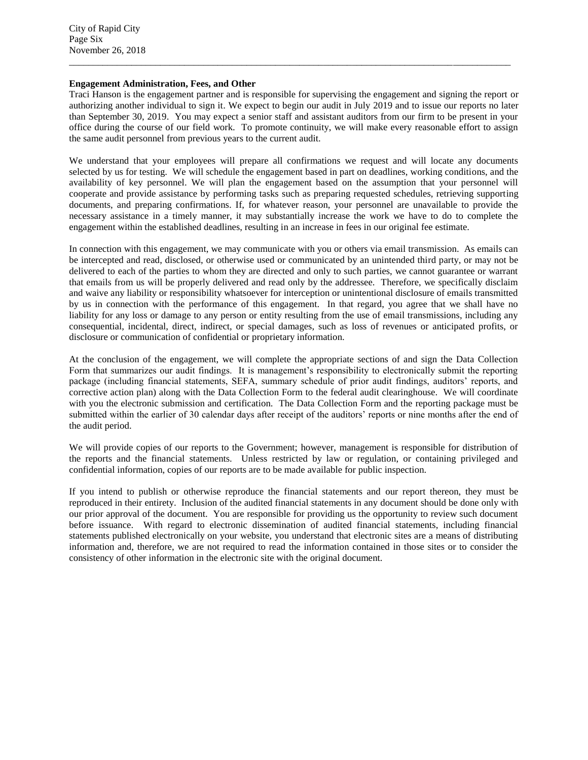# **Engagement Administration, Fees, and Other**

Traci Hanson is the engagement partner and is responsible for supervising the engagement and signing the report or authorizing another individual to sign it. We expect to begin our audit in July 2019 and to issue our reports no later than September 30, 2019. You may expect a senior staff and assistant auditors from our firm to be present in your office during the course of our field work. To promote continuity, we will make every reasonable effort to assign the same audit personnel from previous years to the current audit.

 $\overline{a}$  , and the contribution of the contribution of the contribution of the contribution of the contribution of the contribution of the contribution of the contribution of the contribution of the contribution of the co

We understand that your employees will prepare all confirmations we request and will locate any documents selected by us for testing. We will schedule the engagement based in part on deadlines, working conditions, and the availability of key personnel. We will plan the engagement based on the assumption that your personnel will cooperate and provide assistance by performing tasks such as preparing requested schedules, retrieving supporting documents, and preparing confirmations. If, for whatever reason, your personnel are unavailable to provide the necessary assistance in a timely manner, it may substantially increase the work we have to do to complete the engagement within the established deadlines, resulting in an increase in fees in our original fee estimate.

In connection with this engagement, we may communicate with you or others via email transmission. As emails can be intercepted and read, disclosed, or otherwise used or communicated by an unintended third party, or may not be delivered to each of the parties to whom they are directed and only to such parties, we cannot guarantee or warrant that emails from us will be properly delivered and read only by the addressee. Therefore, we specifically disclaim and waive any liability or responsibility whatsoever for interception or unintentional disclosure of emails transmitted by us in connection with the performance of this engagement. In that regard, you agree that we shall have no liability for any loss or damage to any person or entity resulting from the use of email transmissions, including any consequential, incidental, direct, indirect, or special damages, such as loss of revenues or anticipated profits, or disclosure or communication of confidential or proprietary information.

At the conclusion of the engagement, we will complete the appropriate sections of and sign the Data Collection Form that summarizes our audit findings. It is management's responsibility to electronically submit the reporting package (including financial statements, SEFA, summary schedule of prior audit findings, auditors' reports, and corrective action plan) along with the Data Collection Form to the federal audit clearinghouse. We will coordinate with you the electronic submission and certification. The Data Collection Form and the reporting package must be submitted within the earlier of 30 calendar days after receipt of the auditors' reports or nine months after the end of the audit period.

We will provide copies of our reports to the Government; however, management is responsible for distribution of the reports and the financial statements. Unless restricted by law or regulation, or containing privileged and confidential information, copies of our reports are to be made available for public inspection.

If you intend to publish or otherwise reproduce the financial statements and our report thereon, they must be reproduced in their entirety. Inclusion of the audited financial statements in any document should be done only with our prior approval of the document. You are responsible for providing us the opportunity to review such document before issuance. With regard to electronic dissemination of audited financial statements, including financial statements published electronically on your website, you understand that electronic sites are a means of distributing information and, therefore, we are not required to read the information contained in those sites or to consider the consistency of other information in the electronic site with the original document.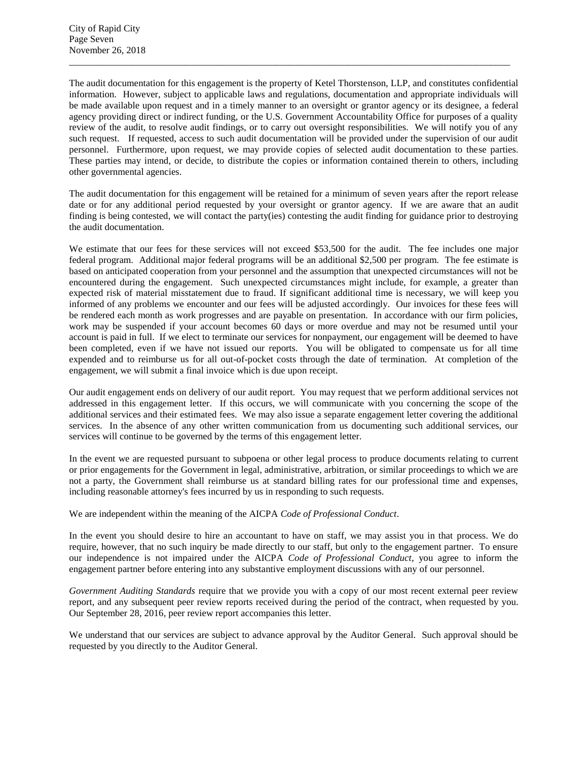The audit documentation for this engagement is the property of Ketel Thorstenson, LLP, and constitutes confidential information. However, subject to applicable laws and regulations, documentation and appropriate individuals will be made available upon request and in a timely manner to an oversight or grantor agency or its designee, a federal agency providing direct or indirect funding, or the U.S. Government Accountability Office for purposes of a quality review of the audit, to resolve audit findings, or to carry out oversight responsibilities. We will notify you of any such request. If requested, access to such audit documentation will be provided under the supervision of our audit personnel. Furthermore, upon request, we may provide copies of selected audit documentation to these parties. These parties may intend, or decide, to distribute the copies or information contained therein to others, including other governmental agencies.

 $\overline{a}$  , and the state of the state of the state of the state of the state of the state of the state of the state of the state of the state of the state of the state of the state of the state of the state of the state o

The audit documentation for this engagement will be retained for a minimum of seven years after the report release date or for any additional period requested by your oversight or grantor agency. If we are aware that an audit finding is being contested, we will contact the party(ies) contesting the audit finding for guidance prior to destroying the audit documentation.

We estimate that our fees for these services will not exceed \$53,500 for the audit. The fee includes one major federal program. Additional major federal programs will be an additional \$2,500 per program. The fee estimate is based on anticipated cooperation from your personnel and the assumption that unexpected circumstances will not be encountered during the engagement. Such unexpected circumstances might include, for example, a greater than expected risk of material misstatement due to fraud. If significant additional time is necessary, we will keep you informed of any problems we encounter and our fees will be adjusted accordingly. Our invoices for these fees will be rendered each month as work progresses and are payable on presentation. In accordance with our firm policies, work may be suspended if your account becomes 60 days or more overdue and may not be resumed until your account is paid in full. If we elect to terminate our services for nonpayment, our engagement will be deemed to have been completed, even if we have not issued our reports. You will be obligated to compensate us for all time expended and to reimburse us for all out-of-pocket costs through the date of termination. At completion of the engagement, we will submit a final invoice which is due upon receipt.

Our audit engagement ends on delivery of our audit report. You may request that we perform additional services not addressed in this engagement letter. If this occurs, we will communicate with you concerning the scope of the additional services and their estimated fees. We may also issue a separate engagement letter covering the additional services. In the absence of any other written communication from us documenting such additional services, our services will continue to be governed by the terms of this engagement letter.

In the event we are requested pursuant to subpoena or other legal process to produce documents relating to current or prior engagements for the Government in legal, administrative, arbitration, or similar proceedings to which we are not a party, the Government shall reimburse us at standard billing rates for our professional time and expenses, including reasonable attorney's fees incurred by us in responding to such requests.

We are independent within the meaning of the AICPA *Code of Professional Conduct*.

In the event you should desire to hire an accountant to have on staff, we may assist you in that process. We do require, however, that no such inquiry be made directly to our staff, but only to the engagement partner. To ensure our independence is not impaired under the AICPA *Code of Professional Conduct*, you agree to inform the engagement partner before entering into any substantive employment discussions with any of our personnel.

*Government Auditing Standards* require that we provide you with a copy of our most recent external peer review report, and any subsequent peer review reports received during the period of the contract, when requested by you. Our September 28, 2016, peer review report accompanies this letter.

We understand that our services are subject to advance approval by the Auditor General. Such approval should be requested by you directly to the Auditor General.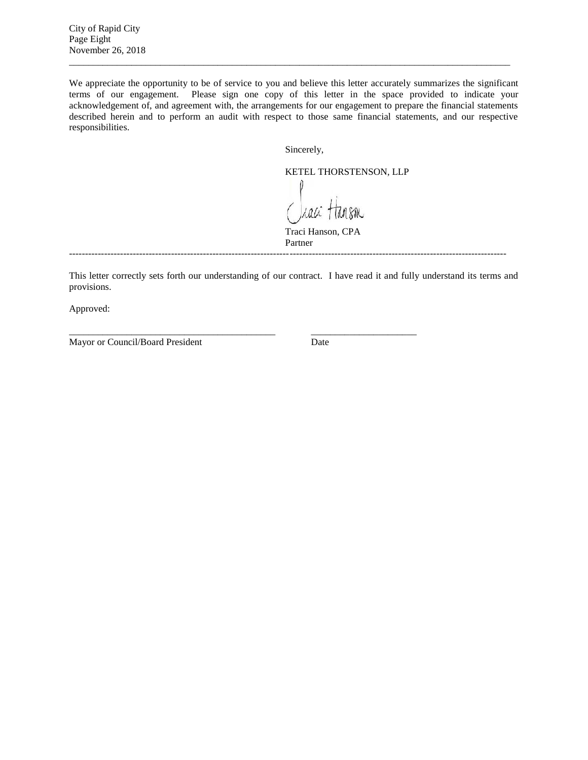City of Rapid City Page Eight November 26, 2018

We appreciate the opportunity to be of service to you and believe this letter accurately summarizes the significant terms of our engagement. Please sign one copy of this letter in the space provided to indicate your acknowledgement of, and agreement with, the arrangements for our engagement to prepare the financial statements described herein and to perform an audit with respect to those same financial statements, and our respective responsibilities.

 $\overline{a}$  , and the state of the state of the state of the state of the state of the state of the state of the state of the state of the state of the state of the state of the state of the state of the state of the state o

Sincerely,

KETEL THORSTENSON, LLP Lali KM

Traci Hanson, CPA Partner

-----------------------------------------------------------------------------------------------------------------------------------------

\_\_\_\_\_\_\_\_\_\_\_\_\_\_\_\_\_\_\_\_\_\_\_\_\_\_\_\_\_\_\_\_\_\_\_\_\_\_\_\_\_\_\_ \_\_\_\_\_\_\_\_\_\_\_\_\_\_\_\_\_\_\_\_\_\_

This letter correctly sets forth our understanding of our contract. I have read it and fully understand its terms and provisions.

Approved:

Mayor or Council/Board President Date